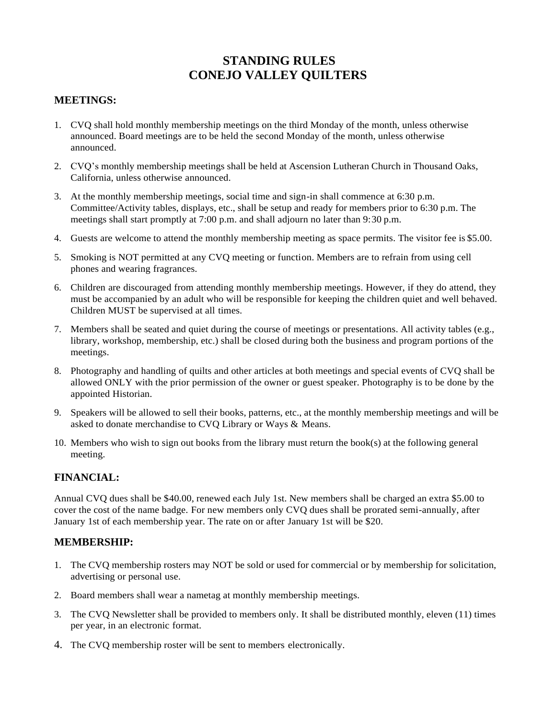# **STANDING RULES CONEJO VALLEY QUILTERS**

## **MEETINGS:**

- 1. CVQ shall hold monthly membership meetings on the third Monday of the month, unless otherwise announced. Board meetings are to be held the second Monday of the month, unless otherwise announced.
- 2. CVQ's monthly membership meetings shall be held at Ascension Lutheran Church in Thousand Oaks, California, unless otherwise announced.
- 3. At the monthly membership meetings, social time and sign-in shall commence at 6:30 p.m. Committee/Activity tables, displays, etc., shall be setup and ready for members prior to 6:30 p.m. The meetings shall start promptly at 7:00 p.m. and shall adjourn no later than 9:30 p.m.
- 4. Guests are welcome to attend the monthly membership meeting as space permits. The visitor fee is \$5.00.
- 5. Smoking is NOT permitted at any CVQ meeting or function. Members are to refrain from using cell phones and wearing fragrances.
- 6. Children are discouraged from attending monthly membership meetings. However, if they do attend, they must be accompanied by an adult who will be responsible for keeping the children quiet and well behaved. Children MUST be supervised at all times.
- 7. Members shall be seated and quiet during the course of meetings or presentations. All activity tables (e.g., library, workshop, membership, etc.) shall be closed during both the business and program portions of the meetings.
- 8. Photography and handling of quilts and other articles at both meetings and special events of CVQ shall be allowed ONLY with the prior permission of the owner or guest speaker. Photography is to be done by the appointed Historian.
- 9. Speakers will be allowed to sell their books, patterns, etc., at the monthly membership meetings and will be asked to donate merchandise to CVQ Library or Ways & Means.
- 10. Members who wish to sign out books from the library must return the book(s) at the following general meeting.

# **FINANCIAL:**

Annual CVQ dues shall be \$40.00, renewed each July 1st. New members shall be charged an extra \$5.00 to cover the cost of the name badge. For new members only CVQ dues shall be prorated semi-annually, after January 1st of each membership year. The rate on or after January 1st will be \$20.

#### **MEMBERSHIP:**

- 1. The CVQ membership rosters may NOT be sold or used for commercial or by membership for solicitation, advertising or personal use.
- 2. Board members shall wear a nametag at monthly membership meetings.
- 3. The CVQ Newsletter shall be provided to members only. It shall be distributed monthly, eleven (11) times per year, in an electronic format.
- 4. The CVQ membership roster will be sent to members electronically.